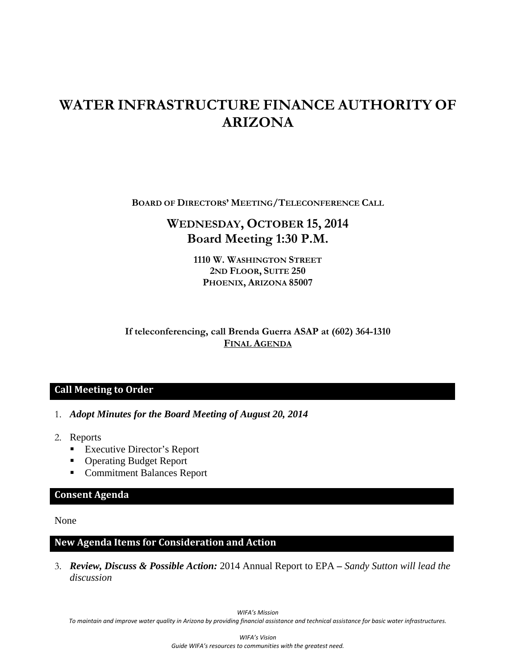# **WATER INFRASTRUCTURE FINANCE AUTHORITY OF ARIZONA**

**BOARD OF DIRECTORS' MEETING/TELECONFERENCE CALL**

# **WEDNESDAY, OCTOBER 15, 2014 Board Meeting 1:30 P.M.**

**1110 W. WASHINGTON STREET 2ND FLOOR, SUITE 250 PHOENIX, ARIZONA 85007** 

# **If teleconferencing, call Brenda Guerra ASAP at (602) 364-1310 FINAL AGENDA**

# **Call Meeting to Order**

- 1. *Adopt Minutes for the Board Meeting of August 20, 2014*
- 2. Reports
	- Executive Director's Report
	- Operating Budget Report
	- Commitment Balances Report

# **Consent Agenda**

None

# **New Agenda Items for Consideration and Action**

3. *Review, Discuss & Possible Action:* 2014 Annual Report to EPA *– Sandy Sutton will lead the discussion* 

*WIFA's Mission*

To maintain and improve water quality in Arizona by providing financial assistance and technical assistance for basic water infrastructures.

*WIFA's Vision Guide WIFA's resources to communities with the greatest need.*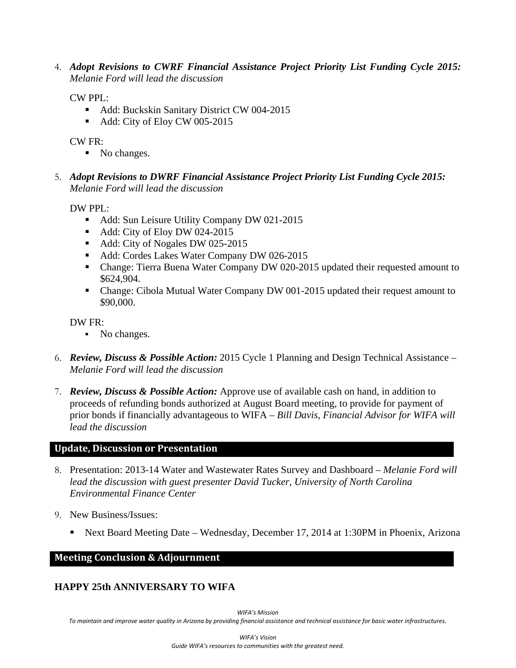4. *Adopt Revisions to CWRF Financial Assistance Project Priority List Funding Cycle 2015: Melanie Ford will lead the discussion*

CW PPL:

- Add: Buckskin Sanitary District CW 004-2015
- Add: City of Eloy CW 005-2015

CW FR:

- No changes.
- 5. *Adopt Revisions to DWRF Financial Assistance Project Priority List Funding Cycle 2015: Melanie Ford will lead the discussion*

DW PPL:

- Add: Sun Leisure Utility Company DW 021-2015
- Add: City of Eloy DW 024-2015
- Add: City of Nogales DW 025-2015
- Add: Cordes Lakes Water Company DW 026-2015
- Change: Tierra Buena Water Company DW 020-2015 updated their requested amount to \$624,904.
- Change: Cibola Mutual Water Company DW 001-2015 updated their request amount to \$90,000.

DW FR:

- No changes.
- 6. *Review, Discuss & Possible Action:* 2015 Cycle 1 Planning and Design Technical Assistance *Melanie Ford will lead the discussion*
- 7. *Review, Discuss & Possible Action:* Approve use of available cash on hand, in addition to proceeds of refunding bonds authorized at August Board meeting, to provide for payment of prior bonds if financially advantageous to WIFA – *Bill Davis, Financial Advisor for WIFA will lead the discussion*

#### **Update, Discussion or Presentation**

- 8. Presentation: 2013-14 Water and Wastewater Rates Survey and Dashboard *Melanie Ford will lead the discussion with guest presenter David Tucker, University of North Carolina Environmental Finance Center*
- 9. New Business/Issues:
	- Next Board Meeting Date Wednesday, December 17, 2014 at 1:30PM in Phoenix, Arizona

#### **Meeting Conclusion & Adjournment**

# **HAPPY 25th ANNIVERSARY TO WIFA**

*WIFA's Mission*

To maintain and improve water quality in Arizona by providing financial assistance and technical assistance for basic water infrastructures.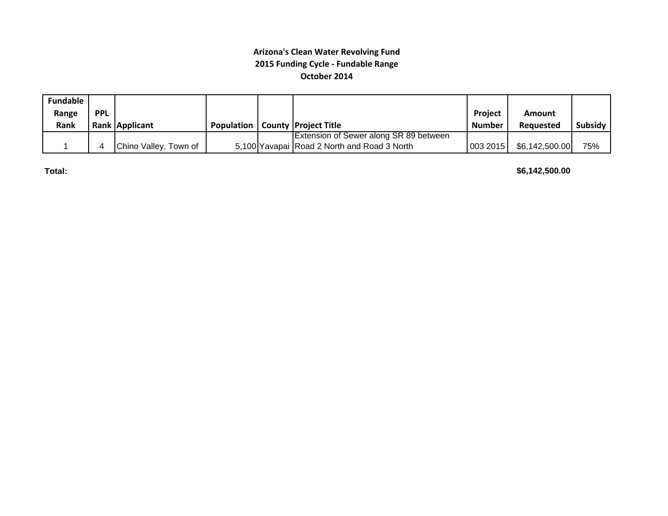#### **Arizona's Clean Water Revolving Fund 2015 Funding Cycle ‐ Fundable Range October 2014**

| <b>Fundable</b> |            |                       |  |                                             |                |                  |         |
|-----------------|------------|-----------------------|--|---------------------------------------------|----------------|------------------|---------|
| Range           | <b>PPL</b> |                       |  |                                             | <b>Project</b> | <b>Amount</b>    |         |
| Rank            |            | Rank Applicant        |  | <b>Population   County   Project Title</b>  | <b>Number</b>  | <b>Requested</b> | Subsidy |
|                 |            |                       |  | Extension of Sewer along SR 89 between      |                |                  |         |
|                 |            | Chino Valley, Town of |  | 5,100 Yavapai Road 2 North and Road 3 North | 003 2015       | \$6,142,500.00   | 75%     |

**Total:**

**\$6,142,500.00**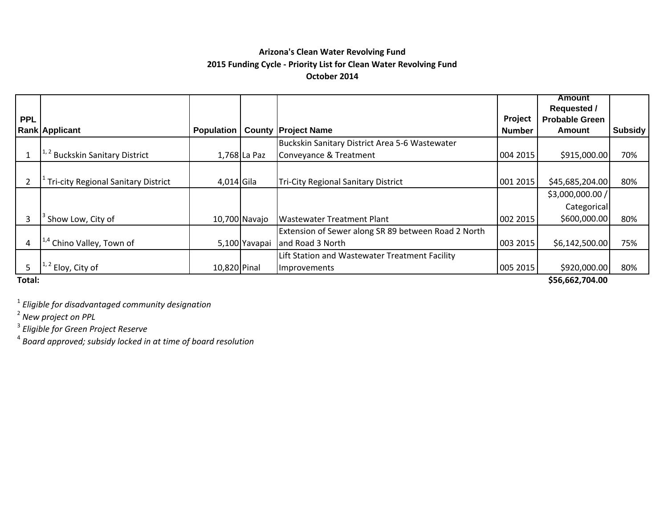### **Arizona's Clean Water Revolving Fund 2015 Funding Cycle ‐ Priority List for Clean Water Revolving Fund October 2014**

|                |                                         |                   |               |                                                     |               | <b>Amount</b>         |                |
|----------------|-----------------------------------------|-------------------|---------------|-----------------------------------------------------|---------------|-----------------------|----------------|
|                |                                         |                   |               |                                                     |               | <b>Requested /</b>    |                |
| <b>PPL</b>     |                                         |                   |               |                                                     | Project       | <b>Probable Green</b> |                |
|                | <b>Rank Applicant</b>                   | <b>Population</b> |               | <b>County Project Name</b>                          | <b>Number</b> | Amount                | <b>Subsidy</b> |
|                |                                         |                   |               | Buckskin Sanitary District Area 5-6 Wastewater      |               |                       |                |
|                | <sup>2</sup> Buckskin Sanitary District |                   | 1,768 La Paz  | Conveyance & Treatment                              | 004 2015      | \$915,000.00          | 70%            |
|                |                                         |                   |               |                                                     |               |                       |                |
| $\overline{2}$ | Tri-city Regional Sanitary District     | 4,014 Gila        |               | <b>Tri-City Regional Sanitary District</b>          | 001 2015      | \$45,685,204.00       | 80%            |
|                |                                         |                   |               |                                                     |               | \$3,000,000.00 /      |                |
|                |                                         |                   |               |                                                     |               | Categorical           |                |
| 3              | Show Low, City of                       |                   | 10,700 Navajo | <b>Wastewater Treatment Plant</b>                   | 002 2015      | \$600,000.00          | 80%            |
|                |                                         |                   |               | Extension of Sewer along SR 89 between Road 2 North |               |                       |                |
| 4              | Chino Valley, Town of                   |                   | 5,100 Yavapai | and Road 3 North                                    | 003 2015      | \$6,142,500.00        | 75%            |
|                |                                         |                   |               | Lift Station and Wastewater Treatment Facility      |               |                       |                |
|                | <sup>'</sup> Eloy, City of              | 10,820 Pinal      |               | Improvements                                        | 005 2015      | \$920,000.00          | 80%            |

**Total:**

**\$56,662,704.00**

1 *Eligible for disadvantaged community designation* 2 *New project on PPL* 3 *Eligible for Green Project Reserve*

4 *Board approved; subsidy locked in at time of board resolution*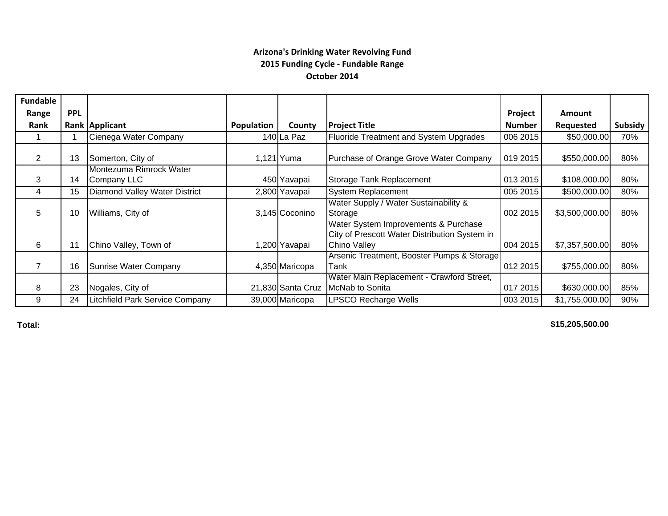#### **Arizona's Drinking Water Revolving Fund 2015 Funding Cycle ‐ Fundable Range October 2014**

| <b>Fundable</b> |            |                                        |            |                   |                                                                                                              |               |                |         |
|-----------------|------------|----------------------------------------|------------|-------------------|--------------------------------------------------------------------------------------------------------------|---------------|----------------|---------|
| Range           | <b>PPL</b> |                                        |            |                   |                                                                                                              | Project       | <b>Amount</b>  |         |
| Rank            |            | Rank Applicant                         | Population | County            | <b>Project Title</b>                                                                                         | <b>Number</b> | Requested      | Subsidy |
|                 |            | Cienega Water Company                  |            | 140 La Paz        | <b>Fluoride Treatment and System Upgrades</b>                                                                | 006 2015      | \$50,000.00    | 70%     |
| 2               | 13         | Somerton, City of                      |            | 1,121 Yuma        | Purchase of Orange Grove Water Company                                                                       | 019 2015      | \$550,000.00   | 80%     |
| 3               | 14         | Montezuma Rimrock Water<br>Company LLC |            | 450 Yavapai       | Storage Tank Replacement                                                                                     | 013 2015      | \$108,000.00   | 80%     |
| 4               | 15         | Diamond Valley Water District          |            | 2,800 Yavapai     | System Replacement                                                                                           | 005 2015      | \$500,000.00   | 80%     |
| 5               | 10         | Williams, City of                      |            | 3,145 Coconino    | Water Supply / Water Sustainability &<br>Storage                                                             | 002 2015      | \$3,500,000.00 | 80%     |
| 6               | 11         | Chino Valley, Town of                  |            | ,200 Yavapai      | Water System Improvements & Purchase<br>City of Prescott Water Distribution System in<br><b>Chino Valley</b> | 004 2015      | \$7,357,500.00 | 80%     |
|                 | 16         | Sunrise Water Company                  |            | 4,350 Maricopa    | Arsenic Treatment, Booster Pumps & Storage<br>Tank                                                           | 012 2015      | \$755,000.00   | 80%     |
| 8               | 23         | Nogales, City of                       |            | 21,830 Santa Cruz | Water Main Replacement - Crawford Street,<br>McNab to Sonita                                                 | 017 2015      | \$630,000.00   | 85%     |
| 9               | 24         | Litchfield Park Service Company        |            | 39,000 Maricopa   | <b>LPSCO Recharge Wells</b>                                                                                  | 003 2015      | \$1,755,000.00 | 90%     |

**Total:**

**\$15,205,500.00**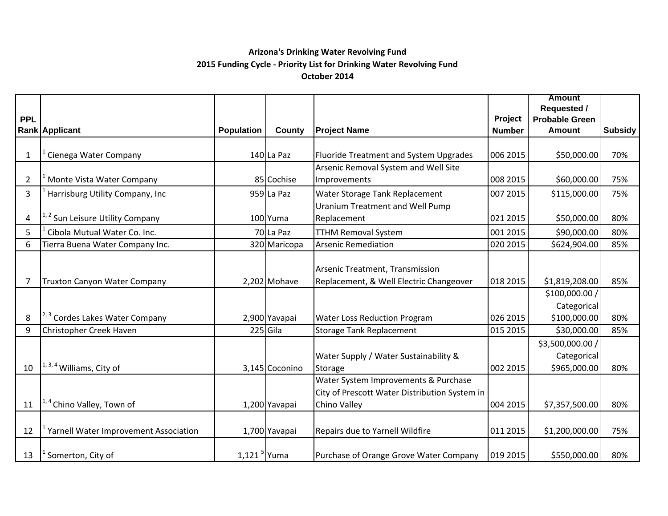### **Arizona's Drinking Water Revolving Fund 2015 Funding Cycle ‐ Priority List for Drinking Water Revolving Fund October 2014**

|                |                                             |                           |                |                                               |               | <b>Amount</b>         |                |
|----------------|---------------------------------------------|---------------------------|----------------|-----------------------------------------------|---------------|-----------------------|----------------|
|                |                                             |                           |                |                                               |               | <b>Requested /</b>    |                |
| <b>PPL</b>     |                                             |                           |                |                                               | Project       | <b>Probable Green</b> |                |
|                | Rank Applicant                              | <b>Population</b>         | County         | <b>Project Name</b>                           | <b>Number</b> | <b>Amount</b>         | <b>Subsidy</b> |
|                |                                             |                           |                |                                               |               |                       |                |
| $\mathbf{1}$   | Cienega Water Company                       |                           | 140 La Paz     | Fluoride Treatment and System Upgrades        | 006 2015      | \$50,000.00           | 70%            |
|                |                                             |                           |                | Arsenic Removal System and Well Site          |               |                       |                |
| $\overline{2}$ | Monte Vista Water Company                   |                           | 85 Cochise     | Improvements                                  | 008 2015      | \$60,000.00           | 75%            |
| 3              | Harrisburg Utility Company, Inc             |                           | 959 La Paz     | Water Storage Tank Replacement                | 007 2015      | \$115,000.00          | 75%            |
|                |                                             |                           |                | <b>Uranium Treatment and Well Pump</b>        |               |                       |                |
| 4              | <sup>1, 2</sup> Sun Leisure Utility Company |                           | 100 Yuma       | Replacement                                   | 021 2015      | \$50,000.00           | 80%            |
| 5              | Cibola Mutual Water Co. Inc.                |                           | 70 La Paz      | <b>TTHM Removal System</b>                    | 001 2015      | \$90,000.00           | 80%            |
| 6              | Tierra Buena Water Company Inc.             |                           | 320 Maricopa   | <b>Arsenic Remediation</b>                    | 020 2015      | \$624,904.00          | 85%            |
|                |                                             |                           |                |                                               |               |                       |                |
|                |                                             |                           |                | Arsenic Treatment, Transmission               |               |                       |                |
| $\overline{7}$ | Truxton Canyon Water Company                |                           | 2,202 Mohave   | Replacement, & Well Electric Changeover       | 018 2015      | \$1,819,208.00        | 85%            |
|                |                                             |                           |                |                                               |               | \$100,000.00 /        |                |
|                |                                             |                           |                |                                               |               | Categorical           |                |
| 8              | <sup>2, 3</sup> Cordes Lakes Water Company  |                           | 2,900 Yavapai  | <b>Water Loss Reduction Program</b>           | 026 2015      | \$100,000.00          | 80%            |
| 9              | Christopher Creek Haven                     |                           | 225 Gila       | <b>Storage Tank Replacement</b>               | 015 2015      | \$30,000.00           | 85%            |
|                |                                             |                           |                |                                               |               | \$3,500,000.00 /      |                |
|                |                                             |                           |                | Water Supply / Water Sustainability &         |               | Categorical           |                |
| 10             | $1, 3, 4$ Williams, City of                 |                           | 3,145 Coconino | Storage                                       | 002 2015      | \$965,000.00          | 80%            |
|                |                                             |                           |                | Water System Improvements & Purchase          |               |                       |                |
|                |                                             |                           |                | City of Prescott Water Distribution System in |               |                       |                |
| 11             | <sup>1,4</sup> Chino Valley, Town of        |                           | 1,200 Yavapai  | Chino Valley                                  | 004 2015      | \$7,357,500.00        | 80%            |
|                |                                             |                           |                |                                               |               |                       |                |
| 12             | Yarnell Water Improvement Association       |                           | 1,700 Yavapai  | Repairs due to Yarnell Wildfire               | 011 2015      | \$1,200,000.00        | 75%            |
|                |                                             |                           |                |                                               |               |                       |                |
| 13             | Somerton, City of                           | $1,121$ <sup>5</sup> Yuma |                | Purchase of Orange Grove Water Company        | 019 2015      | \$550,000.00          | 80%            |